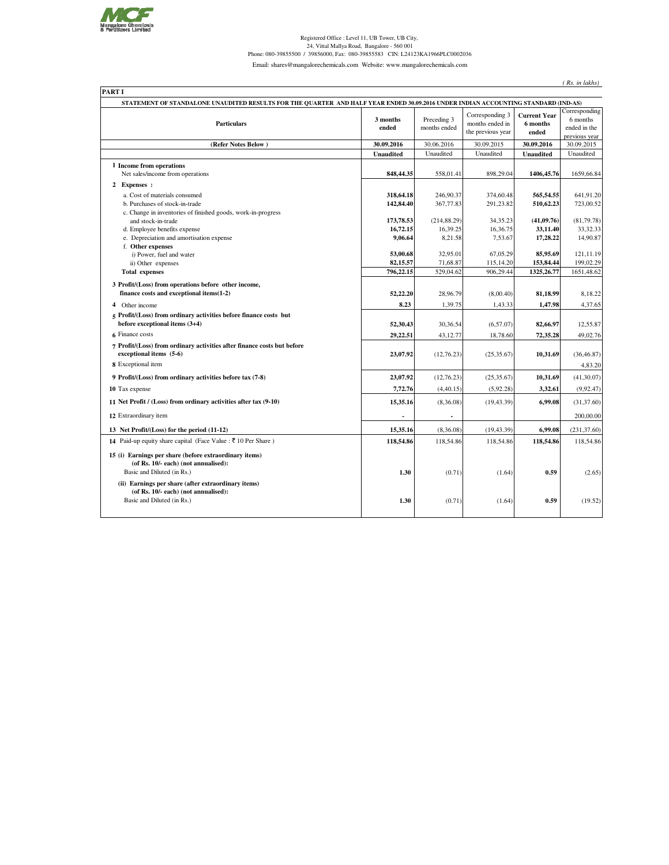

## Registered Office : Level 11, UB Tower, UB City,<br>24, Vittal Mallya Road, Bangalore - 560 001<br>24, Phone: 080-39855500 / 39856000, Fax: 080-39855583 CIN: L24123KA1966PLC0002036

Email: shares@mangalorechemicals.com Website: www.mangalorechemicals.com

*( Rs. in lakhs)*

|                                                                                                                                 |                        |                             | STATEMENT OF STANDALONE UNAUDITED RESULTS FOR THE QUARTER AND HALF YEAR ENDED 30.09.2016 UNDER INDIAN ACCOUNTING STANDARD (IND-AS) |                                          |                                                            |
|---------------------------------------------------------------------------------------------------------------------------------|------------------------|-----------------------------|------------------------------------------------------------------------------------------------------------------------------------|------------------------------------------|------------------------------------------------------------|
| <b>Particulars</b>                                                                                                              | 3 months<br>ended      | Preceding 3<br>months ended | Corresponding 3<br>months ended in<br>the previous year                                                                            | <b>Current Year</b><br>6 months<br>ended | Corresponding<br>6 months<br>ended in the<br>previous year |
| (Refer Notes Below)                                                                                                             | 30.09.2016             | 30.06.2016                  | 30.09.2015                                                                                                                         | 30.09.2016                               | 30.09.2015                                                 |
|                                                                                                                                 | <b>Unaudited</b>       | Unaudited                   | Unaudited                                                                                                                          | <b>Unaudited</b>                         | Unaudited                                                  |
| 1 Income from operations<br>Net sales/income from operations                                                                    | 848,44.35              | 558,01.41                   | 898,29.04                                                                                                                          | 1406, 45.76                              | 1659,66.84                                                 |
| 2 Expenses :                                                                                                                    |                        |                             |                                                                                                                                    |                                          |                                                            |
| a. Cost of materials consumed<br>b. Purchases of stock-in-trade<br>c. Change in inventories of finished goods, work-in-progress | 318,64.18<br>142,84.40 | 246,90.37<br>367,77.83      | 374,60.48<br>291,23.82                                                                                                             | 565,54.55<br>510,62.23                   | 641,91.20<br>723,00.52                                     |
| and stock-in-trade                                                                                                              | 173,78.53              | (214, 88.29)                | 34, 35. 23                                                                                                                         | (41,09.76)                               | (81,79.78)                                                 |
| d. Employee benefits expense                                                                                                    | 16,72.15               | 16,39.25                    | 16,36.75                                                                                                                           | 33,11.40                                 | 33, 32. 33                                                 |
| e. Depreciation and amortisation expense<br>f. Other expenses                                                                   | 9,06.64                | 8,21.58                     | 7,53.67                                                                                                                            | 17,28.22                                 | 14,90.87                                                   |
| i) Power, fuel and water                                                                                                        | 53,00.68               | 32,95.01                    | 67,05.29                                                                                                                           | 85.95.69                                 | 121,11.19                                                  |
| ii) Other expenses                                                                                                              | 82,15.57               | 71,68.87                    | 115,14.20                                                                                                                          | 153,84.44                                | 199,02.29                                                  |
| <b>Total expenses</b>                                                                                                           | 796,22.15              | 529,04.62                   | 906,29.44                                                                                                                          | 1325, 26.77                              | 1651,48.62                                                 |
| 3 Profit/(Loss) from operations before other income,<br>finance costs and exceptional items(1-2)                                | 52,22.20               | 28,96.79                    | (8,00.40)                                                                                                                          | 81,18.99                                 | 8,18.22                                                    |
| 4 Other income                                                                                                                  | 8.23                   | 1,39.75                     | 1,43.33                                                                                                                            | 1,47.98                                  | 4,37.65                                                    |
| 5 Profit/(Loss) from ordinary activities before finance costs but<br>before exceptional items (3+4)                             | 52,30.43               | 30,36.54                    | (6,57.07)                                                                                                                          | 82,66.97                                 | 12,55.87                                                   |
| 6 Finance costs                                                                                                                 | 29,22.51               | 43,12.77                    | 18,78.60                                                                                                                           | 72,35.28                                 | 49,02.76                                                   |
| 7 Profit/(Loss) from ordinary activities after finance costs but before<br>exceptional items (5-6)                              | 23,07.92               | (12,76.23)                  | (25, 35.67)                                                                                                                        | 10,31.69                                 | (36, 46.87)                                                |
| 8 Exceptional item                                                                                                              |                        |                             |                                                                                                                                    |                                          | 4,83.20                                                    |
| 9 Profit/(Loss) from ordinary activities before tax (7-8)                                                                       | 23,07.92               | (12,76.23)                  | (25, 35.67)                                                                                                                        | 10,31.69                                 | (41, 30.07)                                                |
| 10 Tax expense                                                                                                                  | 7,72.76                | (4, 40.15)                  | (5,92.28)                                                                                                                          | 3,32.61                                  | (9, 92.47)                                                 |
| 11 Net Profit / (Loss) from ordinary activities after tax (9-10)                                                                | 15,35.16               | (8,36.08)                   | (19, 43.39)                                                                                                                        | 6,99.08                                  | (31, 37.60)                                                |
| 12 Extraordinary item                                                                                                           |                        |                             |                                                                                                                                    |                                          | 200,00.00                                                  |
| 13 Net Profit/(Loss) for the period (11-12)                                                                                     | 15,35.16               | (8,36.08)                   | (19, 43.39)                                                                                                                        | 6,99.08                                  | (231, 37.60)                                               |
| 14 Paid-up equity share capital (Face Value : ₹ 10 Per Share)                                                                   | 118,54.86              | 118,54.86                   | 118,54.86                                                                                                                          | 118,54.86                                | 118,54.86                                                  |
| 15 (i) Earnings per share (before extraordinary items)<br>(of Rs. 10/- each) (not annualised):<br>Basic and Diluted (in Rs.)    | 1.30                   | (0.71)                      | (1.64)                                                                                                                             | 0.59                                     | (2.65)                                                     |
| (ii) Earnings per share (after extraordinary items)<br>(of Rs. 10/- each) (not annualised):<br>Basic and Diluted (in Rs.)       | 1.30                   | (0.71)                      | (1.64)                                                                                                                             | 0.59                                     | (19.52)                                                    |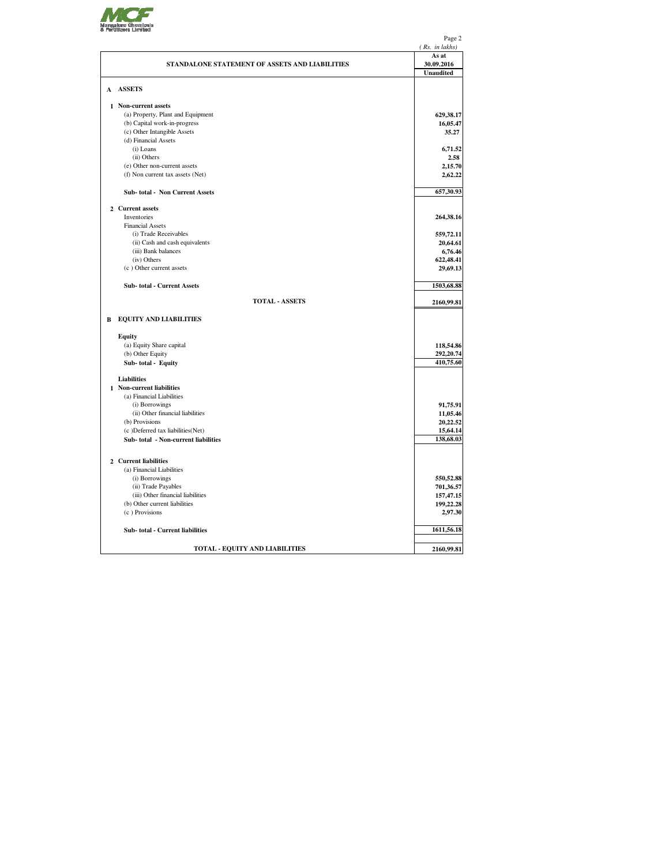

|   |                                                    | Page 2                 |
|---|----------------------------------------------------|------------------------|
|   |                                                    | (Rs. in lakhs)         |
|   |                                                    | As at                  |
|   | STANDALONE STATEMENT OF ASSETS AND LIABILITIES     | 30.09.2016             |
|   |                                                    | <b>Unaudited</b>       |
|   | A ASSETS                                           |                        |
|   |                                                    |                        |
|   | 1 Non-current assets                               |                        |
|   | (a) Property, Plant and Equipment                  | 629,38.17              |
|   | (b) Capital work-in-progress                       | 16,05.47               |
|   | (c) Other Intangible Assets                        | 35.27                  |
|   | (d) Financial Assets                               |                        |
|   | (i) Loans                                          | 6,71.52                |
|   | (ii) Others                                        | 2.58                   |
|   | (e) Other non-current assets                       | 2,15.70                |
|   | (f) Non current tax assets (Net)                   | 2,62.22                |
|   |                                                    |                        |
|   | <b>Sub-total - Non Current Assets</b>              | 657,30.93              |
|   | 2 Current assets                                   |                        |
|   | Inventories                                        | 264,38.16              |
|   | <b>Financial Assets</b>                            |                        |
|   | (i) Trade Receivables                              | 559,72.11              |
|   | (ii) Cash and cash equivalents                     | 20,64.61               |
|   | (iii) Bank balances                                | 6,76.46                |
|   | (iv) Others                                        | 622,48.41              |
|   | (c) Other current assets                           | 29,69.13               |
|   | Sub-total - Current Assets                         | 1503,68.88             |
|   | <b>TOTAL - ASSETS</b>                              | 2160,99.81             |
|   |                                                    |                        |
| В | <b>EQUITY AND LIABILITIES</b>                      |                        |
|   | <b>Equity</b>                                      |                        |
|   | (a) Equity Share capital                           | 118,54.86              |
|   | (b) Other Equity                                   | 292,20.74              |
|   | Sub-total - Equity                                 | 410,75.60              |
|   |                                                    |                        |
|   | <b>Liabilities</b>                                 |                        |
|   | 1 Non-current liabilities                          |                        |
|   | (a) Financial Liabilities                          |                        |
|   | (i) Borrowings<br>(ii) Other financial liabilities | 91,75.91<br>11,05.46   |
|   | (b) Provisions                                     | 20,22.52               |
|   | (c) Deferred tax liabilities (Net)                 | 15,64.14               |
|   | Sub-total - Non-current liabilities                | 138,68.03              |
|   |                                                    |                        |
|   | 2 Current liabilities                              |                        |
|   | (a) Financial Liabilities                          |                        |
|   | (i) Borrowings                                     |                        |
|   | (ii) Trade Payables                                | 550,52.88<br>701,36.57 |
|   | (iii) Other financial liabilities                  | 157,47.15              |
|   | (b) Other current liabilities                      | 199,22.28              |
|   | (c) Provisions                                     | 2,97.30                |
|   |                                                    |                        |
|   | Sub-total - Current liabilities                    | 1611,56.18             |
|   |                                                    |                        |
|   | <b>TOTAL - EQUITY AND LIABILITIES</b>              | 2160,99.81             |